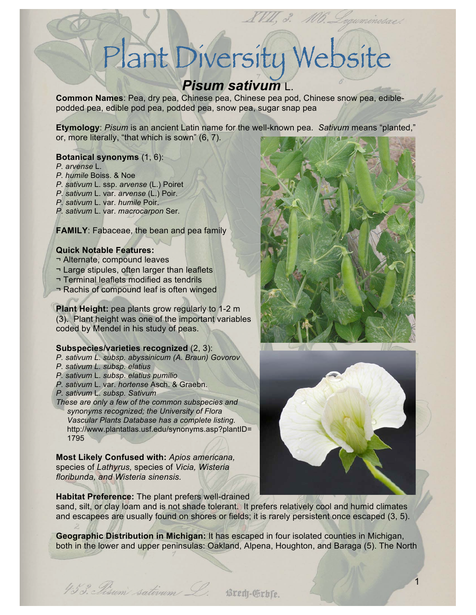# Plant Diversity Website

# *Pisum sativum* L.

**Common Names**: Pea, dry pea, Chinese pea, Chinese pea pod, Chinese snow pea, ediblepodded pea, edible pod pea, podded pea, snow pea, sugar snap pea

**Etymology**: *Pisum* is an ancient Latin name for the well-known pea. *Sativum* means "planted," or, more literally, "that which is sown" (6, 7).

#### **Botanical synonyms** (1, 6):

*P. arvense* L.

- *P. humile* Boiss. & Noe
- *P. sativum* L. ssp. *arvense* (L.) Poiret
- *P. sativum* L. var. *arvense* (L.) Poir.
- *P. sativum* L. var. *humile* Poir. *P. sativum* L. var. *macrocarpon* Ser*.*

**FAMILY**: Fabaceae, the bean and pea family

### **Quick Notable Features:**

- ¬ Alternate, compound leaves
- ¬ Large stipules, often larger than leaflets
- ¬ Terminal leaflets modified as tendrils
- ¬ Rachis of compound leaf is often winged

**Plant Height:** pea plants grow regularly to 1-2 m (3). Plant height was one of the important variables coded by Mendel in his study of peas.

## **Subspecies/varieties recognized** (2, 3):

- *P. sativum L. subsp. abyssinicum (A. Braun) Govorov*
- *P. sativum L. subsp. elatius*
- *P. sativum* L. *subsp*. *elatius pumilio*
- *P. sativum* L. var. *hortense* Asch. & Graebn.
- *P. sativum* L. *subsp. Sativum*

*These are only a few of the common subspecies and synonyms recognized; the University of Flora Vascular Plants Database has a complete listing.* http://www.plantatlas.usf.edu/synonyms.asp?plantID= 1795

**Most Likely Confused with:** *Apios americana,*  species of *Lathyrus,* species of *Vicia, Wisteria floribunda, and Wisteria sinensis.*



auminosae!



1

**Habitat Preference:** The plant prefers well-drained

sand, silt, or clay loam and is not shade tolerant. It prefers relatively cool and humid climates and escapees are usually found on shores or fields; it is rarely persistent once escaped (3, 5).

**Geographic Distribution in Michigan:** It has escaped in four isolated counties in Michigan, both in the lower and upper peninsulas: Oakland, Alpena, Houghton, and Baraga (5). The North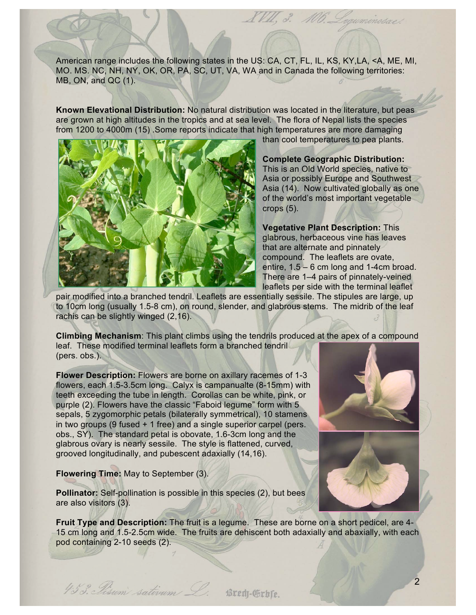American range includes the following states in the US: CA, CT, FL, IL, KS, KY,LA, <A, ME, MI, MO. MS. NC, NH, NY, OK, OR, PA, SC, UT, VA, WA and in Canada the following territories: MB, ON, and QC (1).

**Known Elevational Distribution:** No natural distribution was located in the literature, but peas are grown at high altitudes in the tropics and at sea level. The flora of Nepal lists the species from 1200 to 4000m (15) .Some reports indicate that high temperatures are more damaging



than cool temperatures to pea plants.

XVII, 3. M. Leguminosae!

**Complete Geographic Distribution:**  This is an Old World species, native to Asia or possibly Europe and Southwest Asia (14). Now cultivated globally as one of the world's most important vegetable crops (5).

**Vegetative Plant Description:** This glabrous, herbaceous vine has leaves that are alternate and pinnately compound. The leaflets are ovate, entire, 1.5 – 6 cm long and 1-4cm broad. There are 1–4 pairs of pinnately-veined leaflets per side with the terminal leaflet

pair modified into a branched tendril. Leaflets are essentially sessile. The stipules are large, up to 10cm long (usually 1.5-8 cm), on round, slender, and glabrous stems. The midrib of the leaf rachis can be slightly winged (2,16).

**Climbing Mechanism**: This plant climbs using the tendrils produced at the apex of a compound leaf. These modified terminal leaflets form a branched tendril (pers. obs.).

**Flower Description:** Flowers are borne on axillary racemes of 1-3 flowers, each 1.5-3.5cm long. Calyx is campanualte (8-15mm) with teeth exceeding the tube in length. Corollas can be white, pink, or purple (2). Flowers have the classic "Faboid legume" form with 5 sepals, 5 zygomorphic petals (bilaterally symmetrical), 10 stamens in two groups (9 fused + 1 free) and a single superior carpel (pers. obs., SY). The standard petal is obovate, 1.6-3cm long and the glabrous ovary is nearly sessile. The style is flattened, curved, grooved longitudinally, and pubescent adaxially (14,16).

#### **Flowering Time:** May to September (3).

**Pollinator:** Self-pollination is possible in this species (2), but bees are also visitors (3).





**Fruit Type and Description:** The fruit is a legume. These are borne on a short pedicel, are 4- 15 cm long and 1.5-2.5cm wide. The fruits are dehiscent both adaxially and abaxially, with each pod containing 2-10 seeds (2).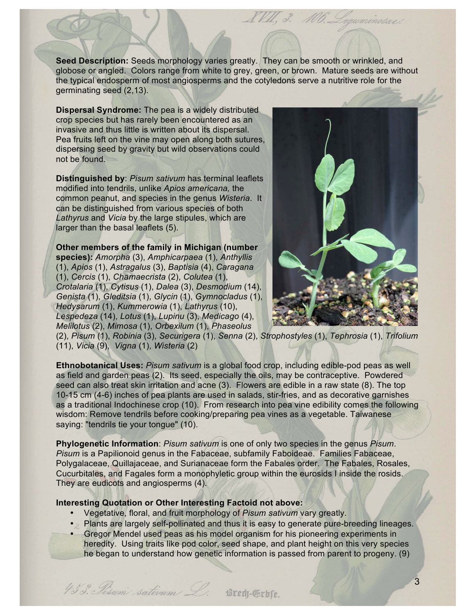**Seed Description:** Seeds morphology varies greatly. They can be smooth or wrinkled, and globose or angled. Colors range from white to grey, green, or brown. Mature seeds are without the typical endosperm of most angiosperms and the cotyledons serve a nutritive role for the germinating seed (2,13).

**Dispersal Syndrome:** The pea is a widely distributed crop species but has rarely been encountered as an invasive and thus little is written about its dispersal. Pea fruits left on the vine may open along both sutures, dispersing seed by gravity but wild observations could not be found.

**Distinguished by**: *Pisum sativum* has terminal leaflets modified into tendrils, unlike *Apios americana,* the common peanut, and species in the genus *Wisteria*. It can be distinguished from various species of both *Lathyrus* and *Vicia* by the large stipules, which are larger than the basal leaflets (5).

**Other members of the family in Michigan (number species):** *Amorpha* (3), *Amphicarpaea* (1), *Anthyllis* (1), *Apios* (1), *Astragalus* (3), *Baptisia* (4), *Caragana* (1), *Cercis* (1), *Chamaecrista* (2), *Colutea* (1), *Crotalaria* (1), *Cytisus* (1), *Dalea* (3), *Desmodium* (14), *Genista* (1), *Gleditsia* (1), *Glycin* (1), *Gymnocladus* (1), *Hedysarum* (1), *Kummerowia* (1), *Lathyrus* (10), *Lespedeza* (14), *Lotus* (1), *Lupinu* (3), *Medicago* (4), *Melilotus* (2), *Mimosa* (1), *Orbexilum* (1), *Phaseolus*



VI, 3. M. Leguminosae!

(2), *Pisum* (1), *Robinia* (3), *Securigera* (1), *Senna* (2), *Strophostyles* (1), *Tephrosia* (1), *Trifolium* (11), *Vicia* (9), *Vigna* (1), *Wisteria* (2)

**Ethnobotanical Uses:** *Pisum sativum* is a global food crop, including edible-pod peas as well as field and garden peas (2). Its seed, especially the oils, may be contraceptive. Powdered seed can also treat skin irritation and acne (3). Flowers are edible in a raw state (8). The top 10-15 cm (4-6) inches of pea plants are used in salads, stir-fries, and as decorative garnishes as a traditional Indochinese crop (10). From research into pea vine edibility comes the following wisdom: Remove tendrils before cooking/preparing pea vines as a vegetable. Taiwanese saying: "tendrils tie your tongue" (10).

**Phylogenetic Information**: *Pisum sativum* is one of only two species in the genus *Pisum*. *Pisum* is a Papilionoid genus in the Fabaceae, subfamily Faboideae. Families Fabaceae, Polygalaceae, Quillajaceae, and Surianaceae form the Fabales order. The Fabales, Rosales, Cucurbitales, and Fagales form a monophyletic group within the eurosids I inside the rosids. They are eudicots and angiosperms (4).

#### **Interesting Quotation or Other Interesting Factoid not above:**

- Vegetative, floral, and fruit morphology of *Pisum sativum* vary greatly.
- Plants are largely self-pollinated and thus it is easy to generate pure-breeding lineages.
- Gregor Mendel used peas as his model organism for his pioneering experiments in heredity. Using traits like pod color, seed shape, and plant height on this very species he began to understand how genetic information is passed from parent to progeny. (9)